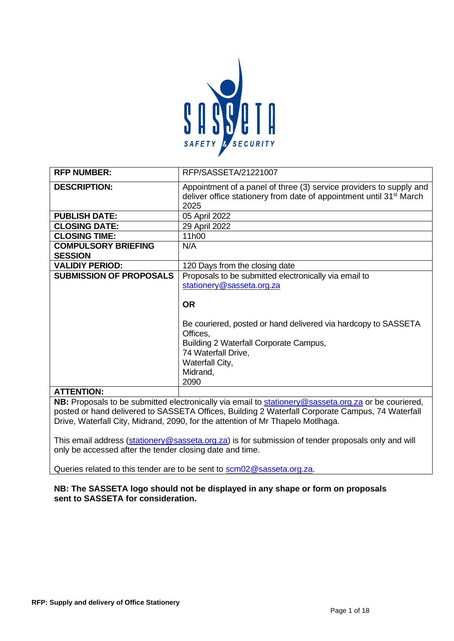

| <b>RFP NUMBER:</b>                           | RFP/SASSETA/21221007                                                                                                                                                                                                                                                                  |
|----------------------------------------------|---------------------------------------------------------------------------------------------------------------------------------------------------------------------------------------------------------------------------------------------------------------------------------------|
| <b>DESCRIPTION:</b>                          | Appointment of a panel of three (3) service providers to supply and<br>deliver office stationery from date of appointment until 31 <sup>st</sup> March<br>2025                                                                                                                        |
| <b>PUBLISH DATE:</b>                         | 05 April 2022                                                                                                                                                                                                                                                                         |
| <b>CLOSING DATE:</b>                         | 29 April 2022                                                                                                                                                                                                                                                                         |
| <b>CLOSING TIME:</b>                         | 11h00                                                                                                                                                                                                                                                                                 |
| <b>COMPULSORY BRIEFING</b><br><b>SESSION</b> | N/A                                                                                                                                                                                                                                                                                   |
| <b>VALIDIY PERIOD:</b>                       | 120 Days from the closing date                                                                                                                                                                                                                                                        |
| <b>SUBMISSION OF PROPOSALS</b>               | Proposals to be submitted electronically via email to<br>stationery@sasseta.org.za<br><b>OR</b><br>Be couriered, posted or hand delivered via hardcopy to SASSETA<br>Offices,<br>Building 2 Waterfall Corporate Campus,<br>74 Waterfall Drive,<br>Waterfall City,<br>Midrand,<br>2090 |
| <b>ATTENTION:</b>                            |                                                                                                                                                                                                                                                                                       |

**NB:** Proposals to be submitted electronically via email to **stationery@sasseta.org.za** or be couriered, posted or hand delivered to SASSETA Offices, Building 2 Waterfall Corporate Campus, 74 Waterfall Drive, Waterfall City, Midrand, 2090, for the attention of Mr Thapelo Motlhaga.

This email address [\(stationery@sasseta.org.za\)](mailto:stationery@sasseta.org.za) is for submission of tender proposals only and will only be accessed after the tender closing date and time.

Queries related to this tender are to be sent to [scm02@sasseta.org.za.](mailto:scm02@sasseta.org.za)

### **NB: The SASSETA logo should not be displayed in any shape or form on proposals sent to SASSETA for consideration.**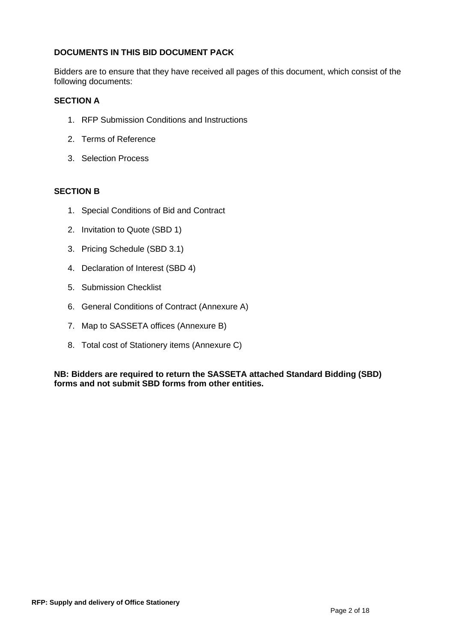# **DOCUMENTS IN THIS BID DOCUMENT PACK**

Bidders are to ensure that they have received all pages of this document, which consist of the following documents:

## **SECTION A**

- 1. RFP Submission Conditions and Instructions
- 2. Terms of Reference
- 3. Selection Process

# **SECTION B**

- 1. Special Conditions of Bid and Contract
- 2. Invitation to Quote (SBD 1)
- 3. Pricing Schedule (SBD 3.1)
- 4. Declaration of Interest (SBD 4)
- 5. Submission Checklist
- 6. General Conditions of Contract (Annexure A)
- 7. Map to SASSETA offices (Annexure B)
- 8. Total cost of Stationery items (Annexure C)

**NB: Bidders are required to return the SASSETA attached Standard Bidding (SBD) forms and not submit SBD forms from other entities.**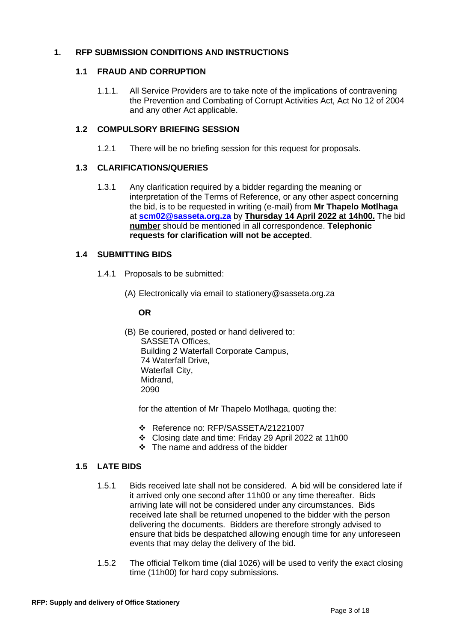## **1. RFP SUBMISSION CONDITIONS AND INSTRUCTIONS**

# **1.1 FRAUD AND CORRUPTION**

1.1.1. All Service Providers are to take note of the implications of contravening the Prevention and Combating of Corrupt Activities Act, Act No 12 of 2004 and any other Act applicable.

# **1.2 COMPULSORY BRIEFING SESSION**

1.2.1 There will be no briefing session for this request for proposals.

# **1.3 CLARIFICATIONS/QUERIES**

1.3.1 Any clarification required by a bidder regarding the meaning or interpretation of the Terms of Reference, or any other aspect concerning the bid, is to be requested in writing (e-mail) from **Mr Thapelo Motlhaga** at **[scm02@sasseta.org.za](mailto:scm02@sasseta.org.za)** by **Thursday 14 April 2022 at 14h00.** The bid **number** should be mentioned in all correspondence. **Telephonic requests for clarification will not be accepted**.

# **1.4 SUBMITTING BIDS**

- 1.4.1 Proposals to be submitted:
	- (A) Electronically via email to stationery@sasseta.org.za

## **OR**

(B) Be couriered, posted or hand delivered to: SASSETA Offices, Building 2 Waterfall Corporate Campus, 74 Waterfall Drive, Waterfall City, Midrand, 2090

for the attention of Mr Thapelo Motlhaga, quoting the:

- ❖ Reference no: RFP/SASSETA/21221007
- ❖ Closing date and time: Friday 29 April 2022 at 11h00
- ❖ The name and address of the bidder

# **1.5 LATE BIDS**

- 1.5.1 Bids received late shall not be considered. A bid will be considered late if it arrived only one second after 11h00 or any time thereafter. Bids arriving late will not be considered under any circumstances. Bids received late shall be returned unopened to the bidder with the person delivering the documents. Bidders are therefore strongly advised to ensure that bids be despatched allowing enough time for any unforeseen events that may delay the delivery of the bid.
- 1.5.2 The official Telkom time (dial 1026) will be used to verify the exact closing time (11h00) for hard copy submissions.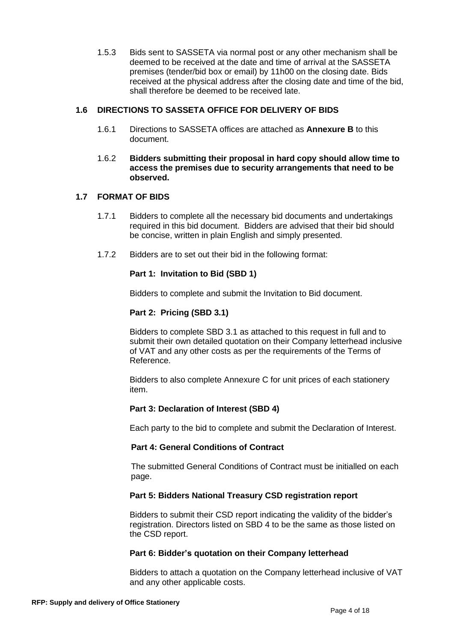1.5.3 Bids sent to SASSETA via normal post or any other mechanism shall be deemed to be received at the date and time of arrival at the SASSETA premises (tender/bid box or email) by 11h00 on the closing date. Bids received at the physical address after the closing date and time of the bid, shall therefore be deemed to be received late.

## **1.6 DIRECTIONS TO SASSETA OFFICE FOR DELIVERY OF BIDS**

- 1.6.1 Directions to SASSETA offices are attached as **Annexure B** to this document.
- 1.6.2 **Bidders submitting their proposal in hard copy should allow time to access the premises due to security arrangements that need to be observed.**

# **1.7 FORMAT OF BIDS**

- 1.7.1 Bidders to complete all the necessary bid documents and undertakings required in this bid document. Bidders are advised that their bid should be concise, written in plain English and simply presented.
- 1.7.2 Bidders are to set out their bid in the following format:

# **Part 1: Invitation to Bid (SBD 1)**

Bidders to complete and submit the Invitation to Bid document.

## **Part 2: Pricing (SBD 3.1)**

Bidders to complete SBD 3.1 as attached to this request in full and to submit their own detailed quotation on their Company letterhead inclusive of VAT and any other costs as per the requirements of the Terms of Reference.

Bidders to also complete Annexure C for unit prices of each stationery item.

## **Part 3: Declaration of Interest (SBD 4)**

Each party to the bid to complete and submit the Declaration of Interest.

## **Part 4: General Conditions of Contract**

The submitted General Conditions of Contract must be initialled on each page.

## **Part 5: Bidders National Treasury CSD registration report**

Bidders to submit their CSD report indicating the validity of the bidder's registration. Directors listed on SBD 4 to be the same as those listed on the CSD report.

## **Part 6: Bidder's quotation on their Company letterhead**

Bidders to attach a quotation on the Company letterhead inclusive of VAT and any other applicable costs.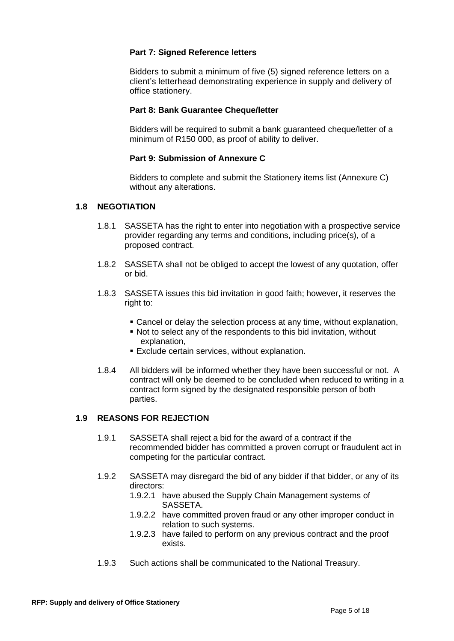# **Part 7: Signed Reference letters**

Bidders to submit a minimum of five (5) signed reference letters on a client's letterhead demonstrating experience in supply and delivery of office stationery.

## **Part 8: Bank Guarantee Cheque/letter**

Bidders will be required to submit a bank guaranteed cheque/letter of a minimum of R150 000, as proof of ability to deliver.

## **Part 9: Submission of Annexure C**

Bidders to complete and submit the Stationery items list (Annexure C) without any alterations.

### **1.8 NEGOTIATION**

- 1.8.1 SASSETA has the right to enter into negotiation with a prospective service provider regarding any terms and conditions, including price(s), of a proposed contract.
- 1.8.2 SASSETA shall not be obliged to accept the lowest of any quotation, offer or bid.
- 1.8.3 SASSETA issues this bid invitation in good faith; however, it reserves the right to:
	- Cancel or delay the selection process at any time, without explanation,
	- Not to select any of the respondents to this bid invitation, without explanation,
	- **Exclude certain services, without explanation.**
- 1.8.4 All bidders will be informed whether they have been successful or not. A contract will only be deemed to be concluded when reduced to writing in a contract form signed by the designated responsible person of both parties.

## **1.9 REASONS FOR REJECTION**

- 1.9.1 SASSETA shall reject a bid for the award of a contract if the recommended bidder has committed a proven corrupt or fraudulent act in competing for the particular contract.
- 1.9.2 SASSETA may disregard the bid of any bidder if that bidder, or any of its directors:
	- 1.9.2.1 have abused the Supply Chain Management systems of SASSETA.
	- 1.9.2.2 have committed proven fraud or any other improper conduct in relation to such systems.
	- 1.9.2.3 have failed to perform on any previous contract and the proof exists.
- 1.9.3 Such actions shall be communicated to the National Treasury.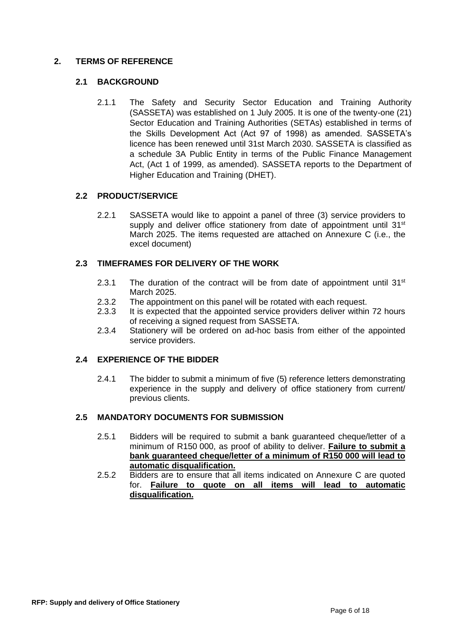# **2. TERMS OF REFERENCE**

# **2.1 BACKGROUND**

2.1.1 The Safety and Security Sector Education and Training Authority (SASSETA) was established on 1 July 2005. It is one of the twenty-one (21) Sector Education and Training Authorities (SETAs) established in terms of the Skills Development Act (Act 97 of 1998) as amended. SASSETA's licence has been renewed until 31st March 2030. SASSETA is classified as a schedule 3A Public Entity in terms of the Public Finance Management Act, (Act 1 of 1999, as amended). SASSETA reports to the Department of Higher Education and Training (DHET).

# **2.2 PRODUCT/SERVICE**

2.2.1 SASSETA would like to appoint a panel of three (3) service providers to supply and deliver office stationery from date of appointment until  $31<sup>st</sup>$ March 2025. The items requested are attached on Annexure C (i.e., the excel document)

# **2.3 TIMEFRAMES FOR DELIVERY OF THE WORK**

- 2.3.1 The duration of the contract will be from date of appointment until  $31<sup>st</sup>$ March 2025.
- 2.3.2 The appointment on this panel will be rotated with each request.
- 2.3.3 It is expected that the appointed service providers deliver within 72 hours of receiving a signed request from SASSETA.
- 2.3.4 Stationery will be ordered on ad-hoc basis from either of the appointed service providers.

## **2.4 EXPERIENCE OF THE BIDDER**

2.4.1 The bidder to submit a minimum of five (5) reference letters demonstrating experience in the supply and delivery of office stationery from current/ previous clients.

## **2.5 MANDATORY DOCUMENTS FOR SUBMISSION**

- 2.5.1 Bidders will be required to submit a bank guaranteed cheque/letter of a minimum of R150 000, as proof of ability to deliver. **Failure to submit a bank guaranteed cheque/letter of a minimum of R150 000 will lead to automatic disqualification.**
- 2.5.2 Bidders are to ensure that all items indicated on Annexure C are quoted for. **Failure to quote on all items will lead to automatic disqualification.**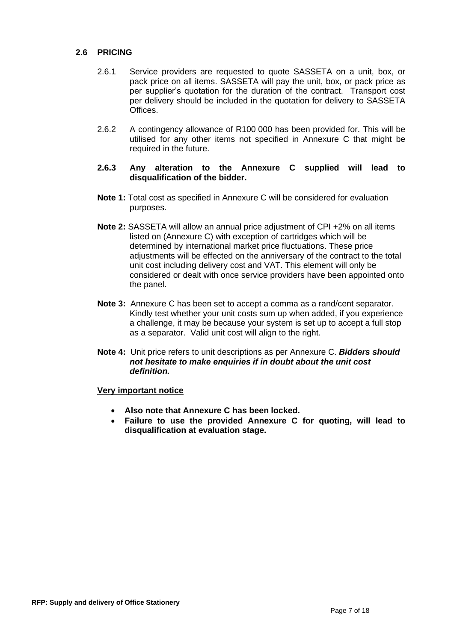## **2.6 PRICING**

- 2.6.1 Service providers are requested to quote SASSETA on a unit, box, or pack price on all items. SASSETA will pay the unit, box, or pack price as per supplier's quotation for the duration of the contract. Transport cost per delivery should be included in the quotation for delivery to SASSETA Offices.
- 2.6.2 A contingency allowance of R100 000 has been provided for. This will be utilised for any other items not specified in Annexure C that might be required in the future.
- **2.6.3 Any alteration to the Annexure C supplied will lead to disqualification of the bidder.**
- **Note 1:** Total cost as specified in Annexure C will be considered for evaluation purposes.
- **Note 2:** SASSETA will allow an annual price adjustment of CPI +2% on all items listed on (Annexure C) with exception of cartridges which will be determined by international market price fluctuations. These price adjustments will be effected on the anniversary of the contract to the total unit cost including delivery cost and VAT. This element will only be considered or dealt with once service providers have been appointed onto the panel.
- **Note 3:** Annexure C has been set to accept a comma as a rand/cent separator. Kindly test whether your unit costs sum up when added, if you experience a challenge, it may be because your system is set up to accept a full stop as a separator. Valid unit cost will align to the right.
- **Note 4:** Unit price refers to unit descriptions as per Annexure C. *Bidders should not hesitate to make enquiries if in doubt about the unit cost definition.*

### **Very important notice**

- **Also note that Annexure C has been locked.**
- **Failure to use the provided Annexure C for quoting, will lead to disqualification at evaluation stage.**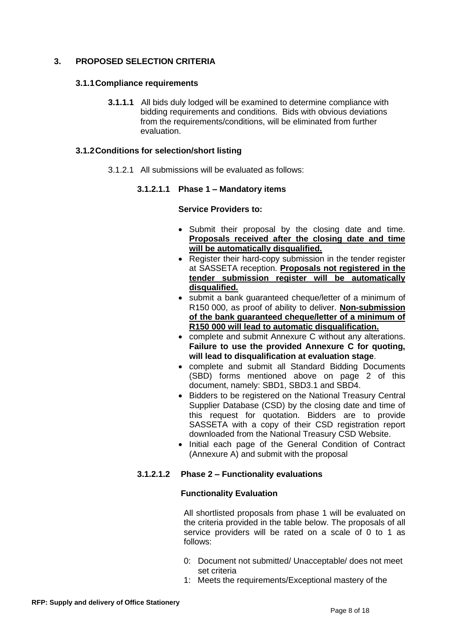# **3. PROPOSED SELECTION CRITERIA**

### **3.1.1Compliance requirements**

**3.1.1.1** All bids duly lodged will be examined to determine compliance with bidding requirements and conditions. Bids with obvious deviations from the requirements/conditions, will be eliminated from further evaluation.

### **3.1.2Conditions for selection/short listing**

3.1.2.1 All submissions will be evaluated as follows:

## **3.1.2.1.1 Phase 1 – Mandatory items**

### **Service Providers to:**

- Submit their proposal by the closing date and time. **Proposals received after the closing date and time will be automatically disqualified.**
- Register their hard-copy submission in the tender register at SASSETA reception. **Proposals not registered in the tender submission register will be automatically disqualified.**
- submit a bank guaranteed cheque/letter of a minimum of R150 000, as proof of ability to deliver. **Non-submission of the bank guaranteed cheque/letter of a minimum of R150 000 will lead to automatic disqualification.**
- complete and submit Annexure C without any alterations. **Failure to use the provided Annexure C for quoting, will lead to disqualification at evaluation stage**.
- complete and submit all Standard Bidding Documents (SBD) forms mentioned above on page 2 of this document, namely: SBD1, SBD3.1 and SBD4.
- Bidders to be registered on the National Treasury Central Supplier Database (CSD) by the closing date and time of this request for quotation. Bidders are to provide SASSETA with a copy of their CSD registration report downloaded from the National Treasury CSD Website.
- Initial each page of the General Condition of Contract (Annexure A) and submit with the proposal

# **3.1.2.1.2 Phase 2 – Functionality evaluations**

## **Functionality Evaluation**

All shortlisted proposals from phase 1 will be evaluated on the criteria provided in the table below. The proposals of all service providers will be rated on a scale of 0 to 1 as follows:

- 0: Document not submitted/ Unacceptable/ does not meet set criteria
- 1: Meets the requirements/Exceptional mastery of the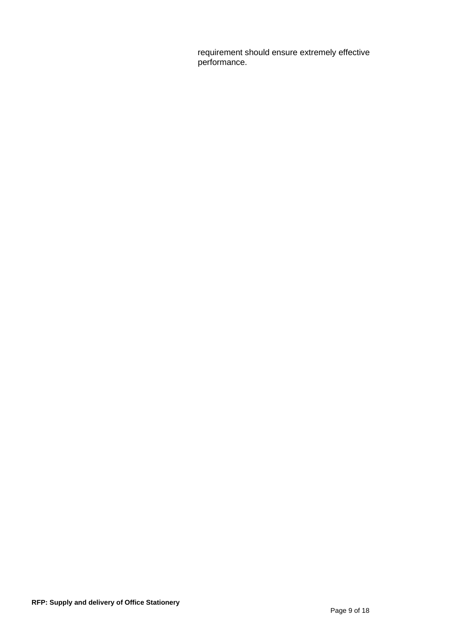requirement should ensure extremely effective performance.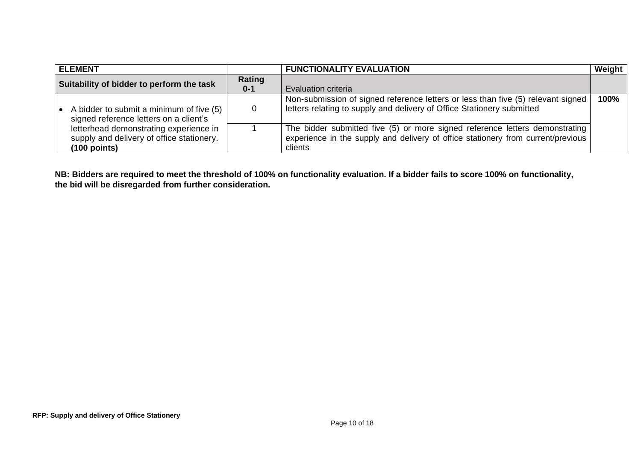| <b>ELEMENT</b>                                                                      |         | <b>FUNCTIONALITY EVALUATION</b>                                                                                                                                  | Weight |
|-------------------------------------------------------------------------------------|---------|------------------------------------------------------------------------------------------------------------------------------------------------------------------|--------|
| Suitability of bidder to perform the task                                           | Rating  |                                                                                                                                                                  |        |
|                                                                                     | $0 - 1$ | <b>Evaluation criteria</b>                                                                                                                                       |        |
|                                                                                     |         | Non-submission of signed reference letters or less than five (5) relevant signed                                                                                 | 100%   |
| A bidder to submit a minimum of five (5)<br>signed reference letters on a client's  |         | letters relating to supply and delivery of Office Stationery submitted                                                                                           |        |
| letterhead demonstrating experience in<br>supply and delivery of office stationery. |         | The bidder submitted five (5) or more signed reference letters demonstrating<br>experience in the supply and delivery of office stationery from current/previous |        |
| $(100$ points)                                                                      |         | clients                                                                                                                                                          |        |

**NB: Bidders are required to meet the threshold of 100% on functionality evaluation. If a bidder fails to score 100% on functionality, the bid will be disregarded from further consideration.**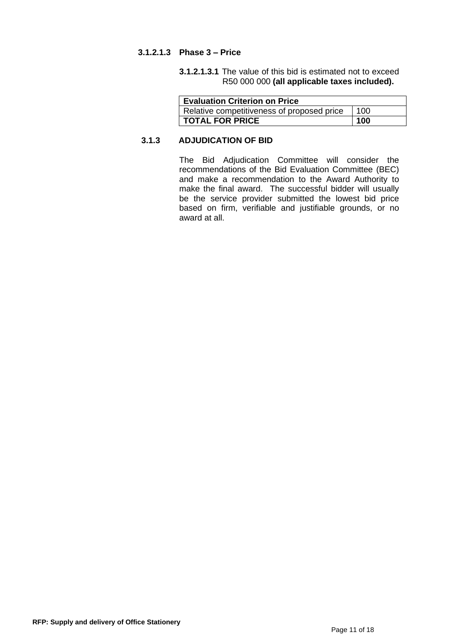### **3.1.2.1.3 Phase 3 – Price**

**3.1.2.1.3.1** The value of this bid is estimated not to exceed R50 000 000 **(all applicable taxes included).** 

| <b>Evaluation Criterion on Price</b>       |     |
|--------------------------------------------|-----|
| Relative competitiveness of proposed price | 100 |
| <b>I TOTAL FOR PRICE</b>                   | 100 |

# **3.1.3 ADJUDICATION OF BID**

The Bid Adjudication Committee will consider the recommendations of the Bid Evaluation Committee (BEC) and make a recommendation to the Award Authority to make the final award. The successful bidder will usually be the service provider submitted the lowest bid price based on firm, verifiable and justifiable grounds, or no award at all.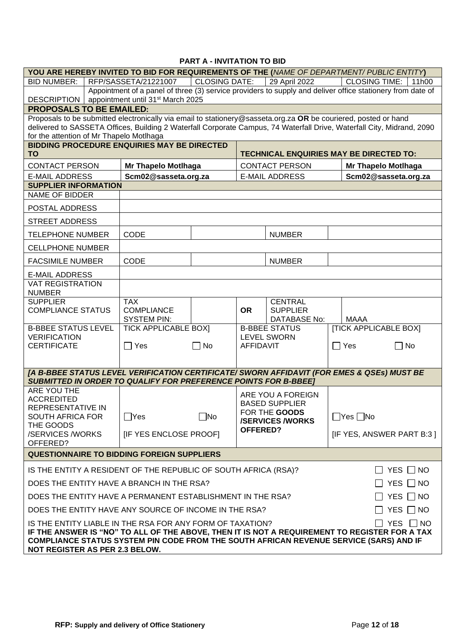# **PART A - INVITATION TO BID**

| YOU ARE HEREBY INVITED TO BID FOR REQUIREMENTS OF THE (NAME OF DEPARTMENT/ PUBLIC ENTITY)                                |                                                                                                            |                                                                                                                 |               |                 |                                        |            |                                                                                                                        |
|--------------------------------------------------------------------------------------------------------------------------|------------------------------------------------------------------------------------------------------------|-----------------------------------------------------------------------------------------------------------------|---------------|-----------------|----------------------------------------|------------|------------------------------------------------------------------------------------------------------------------------|
| <b>BID NUMBER:</b>                                                                                                       |                                                                                                            | RFP/SASSETA/21221007                                                                                            | CLOSING DATE: |                 | 29 April 2022                          |            | <b>CLOSING TIME:</b><br>11h00                                                                                          |
|                                                                                                                          | Appointment of a panel of three (3) service providers to supply and deliver office stationery from date of |                                                                                                                 |               |                 |                                        |            |                                                                                                                        |
| <b>DESCRIPTION</b>                                                                                                       |                                                                                                            | appointment until 31 <sup>st</sup> March 2025                                                                   |               |                 |                                        |            |                                                                                                                        |
| <b>PROPOSALS TO BE EMAILED:</b>                                                                                          |                                                                                                            |                                                                                                                 |               |                 |                                        |            |                                                                                                                        |
|                                                                                                                          |                                                                                                            | Proposals to be submitted electronically via email to stationery@sasseta.org.za OR be couriered, posted or hand |               |                 |                                        |            |                                                                                                                        |
|                                                                                                                          |                                                                                                            |                                                                                                                 |               |                 |                                        |            | delivered to SASSETA Offices, Building 2 Waterfall Corporate Campus, 74 Waterfall Drive, Waterfall City, Midrand, 2090 |
| for the attention of Mr Thapelo Motlhaga                                                                                 |                                                                                                            | <b>BIDDING PROCEDURE ENQUIRIES MAY BE DIRECTED</b>                                                              |               |                 |                                        |            |                                                                                                                        |
| <b>TO</b>                                                                                                                |                                                                                                            |                                                                                                                 |               |                 |                                        |            | TECHNICAL ENQUIRIES MAY BE DIRECTED TO:                                                                                |
| <b>CONTACT PERSON</b>                                                                                                    |                                                                                                            | <b>Mr Thapelo Motlhaga</b>                                                                                      |               |                 | <b>CONTACT PERSON</b>                  |            | <b>Mr Thapelo Motihaga</b>                                                                                             |
| <b>E-MAIL ADDRESS</b>                                                                                                    |                                                                                                            | Scm02@sasseta.org.za                                                                                            |               |                 | <b>E-MAIL ADDRESS</b>                  |            | Scm02@sasseta.org.za                                                                                                   |
| <b>SUPPLIER INFORMATION</b>                                                                                              |                                                                                                            |                                                                                                                 |               |                 |                                        |            |                                                                                                                        |
| NAME OF BIDDER                                                                                                           |                                                                                                            |                                                                                                                 |               |                 |                                        |            |                                                                                                                        |
| POSTAL ADDRESS                                                                                                           |                                                                                                            |                                                                                                                 |               |                 |                                        |            |                                                                                                                        |
| <b>STREET ADDRESS</b>                                                                                                    |                                                                                                            |                                                                                                                 |               |                 |                                        |            |                                                                                                                        |
| <b>TELEPHONE NUMBER</b>                                                                                                  |                                                                                                            | <b>CODE</b>                                                                                                     |               |                 | <b>NUMBER</b>                          |            |                                                                                                                        |
| <b>CELLPHONE NUMBER</b>                                                                                                  |                                                                                                            |                                                                                                                 |               |                 |                                        |            |                                                                                                                        |
| <b>FACSIMILE NUMBER</b>                                                                                                  |                                                                                                            | CODE                                                                                                            |               |                 | <b>NUMBER</b>                          |            |                                                                                                                        |
| <b>E-MAIL ADDRESS</b>                                                                                                    |                                                                                                            |                                                                                                                 |               |                 |                                        |            |                                                                                                                        |
| <b>VAT REGISTRATION</b><br><b>NUMBER</b>                                                                                 |                                                                                                            |                                                                                                                 |               |                 |                                        |            |                                                                                                                        |
| <b>SUPPLIER</b>                                                                                                          |                                                                                                            | <b>TAX</b>                                                                                                      |               |                 | <b>CENTRAL</b>                         |            |                                                                                                                        |
| <b>COMPLIANCE STATUS</b>                                                                                                 |                                                                                                            | <b>COMPLIANCE</b><br><b>SYSTEM PIN:</b>                                                                         |               | <b>OR</b>       | <b>SUPPLIER</b><br><b>DATABASE No:</b> |            | MAAA                                                                                                                   |
| <b>B-BBEE STATUS LEVEL</b>                                                                                               |                                                                                                            | <b>TICK APPLICABLE BOXI</b>                                                                                     |               |                 | <b>B-BBEE STATUS</b>                   |            | <b>[TICK APPLICABLE BOX]</b>                                                                                           |
| <b>VERIFICATION</b>                                                                                                      |                                                                                                            |                                                                                                                 |               |                 | <b>LEVEL SWORN</b>                     |            |                                                                                                                        |
| <b>CERTIFICATE</b>                                                                                                       |                                                                                                            | $\Box$ Yes                                                                                                      | $\Box$ No     | AFFIDAVIT       |                                        | $\Box$ Yes | $\Box$ No                                                                                                              |
|                                                                                                                          |                                                                                                            |                                                                                                                 |               |                 |                                        |            |                                                                                                                        |
|                                                                                                                          |                                                                                                            |                                                                                                                 |               |                 |                                        |            | [A B-BBEE STATUS LEVEL VERIFICATION CERTIFICATE/ SWORN AFFIDAVIT (FOR EMES & QSEs) MUST BE                             |
|                                                                                                                          |                                                                                                            | <b>SUBMITTED IN ORDER TO QUALIFY FOR PREFERENCE POINTS FOR B-BBEET</b>                                          |               |                 |                                        |            |                                                                                                                        |
| ARE YOU THE                                                                                                              |                                                                                                            |                                                                                                                 |               |                 | ARE YOU A FOREIGN                      |            |                                                                                                                        |
| <b>ACCREDITED</b>                                                                                                        |                                                                                                            |                                                                                                                 |               |                 | <b>BASED SUPPLIER</b>                  |            |                                                                                                                        |
| REPRESENTATIVE IN<br><b>SOUTH AFRICA FOR</b>                                                                             |                                                                                                            | $\Box$ Yes                                                                                                      | $\square$ No  |                 | FOR THE GOODS                          |            | $\Box$ Yes $\Box$ No                                                                                                   |
| THE GOODS                                                                                                                |                                                                                                            |                                                                                                                 |               |                 | <b>/SERVICES/WORKS</b>                 |            |                                                                                                                        |
| /SERVICES /WORKS                                                                                                         |                                                                                                            | [IF YES ENCLOSE PROOF]                                                                                          |               | <b>OFFERED?</b> |                                        |            | [IF YES, ANSWER PART B:3]                                                                                              |
| OFFERED?                                                                                                                 |                                                                                                            |                                                                                                                 |               |                 |                                        |            |                                                                                                                        |
| <b>QUESTIONNAIRE TO BIDDING FOREIGN SUPPLIERS</b>                                                                        |                                                                                                            |                                                                                                                 |               |                 |                                        |            |                                                                                                                        |
| IS THE ENTITY A RESIDENT OF THE REPUBLIC OF SOUTH AFRICA (RSA)?<br>YES $\Box$ NO                                         |                                                                                                            |                                                                                                                 |               |                 |                                        |            |                                                                                                                        |
|                                                                                                                          |                                                                                                            | DOES THE ENTITY HAVE A BRANCH IN THE RSA?                                                                       |               |                 |                                        |            | YES $\Box$ NO                                                                                                          |
| YES $\Box$ NO<br>DOES THE ENTITY HAVE A PERMANENT ESTABLISHMENT IN THE RSA?                                              |                                                                                                            |                                                                                                                 |               |                 |                                        |            |                                                                                                                        |
|                                                                                                                          |                                                                                                            | DOES THE ENTITY HAVE ANY SOURCE OF INCOME IN THE RSA?                                                           |               |                 |                                        |            | YES $\Box$ NO                                                                                                          |
| IS THE ENTITY LIABLE IN THE RSA FOR ANY FORM OF TAXATION?<br>YES INO                                                     |                                                                                                            |                                                                                                                 |               |                 |                                        |            |                                                                                                                        |
|                                                                                                                          | IF THE ANSWER IS "NO" TO ALL OF THE ABOVE, THEN IT IS NOT A REQUIREMENT TO REGISTER FOR A TAX              |                                                                                                                 |               |                 |                                        |            |                                                                                                                        |
| COMPLIANCE STATUS SYSTEM PIN CODE FROM THE SOUTH AFRICAN REVENUE SERVICE (SARS) AND IF<br>NOT REGISTER AS PER 2.3 BELOW. |                                                                                                            |                                                                                                                 |               |                 |                                        |            |                                                                                                                        |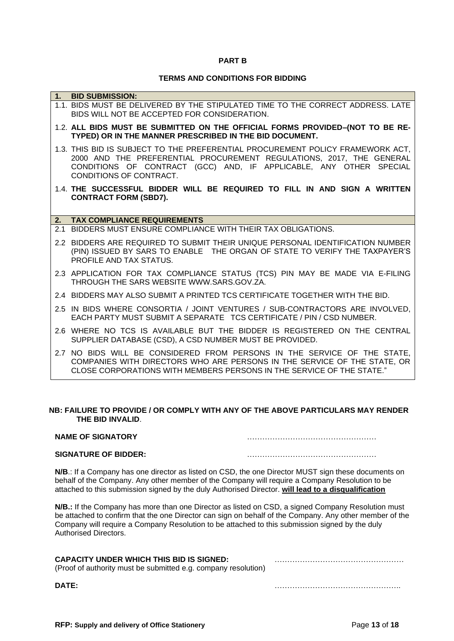#### **PART B**

#### **TERMS AND CONDITIONS FOR BIDDING**

|    | 1.1. BIDS MUST BE DELIVERED BY THE STIPULATED TIME TO THE CORRECT ADDRESS. LATE<br>BIDS WILL NOT BE ACCEPTED FOR CONSIDERATION.                                                                                                                         |
|----|---------------------------------------------------------------------------------------------------------------------------------------------------------------------------------------------------------------------------------------------------------|
|    | 1.2. ALL BIDS MUST BE SUBMITTED ON THE OFFICIAL FORMS PROVIDED-(NOT TO BE RE-<br>TYPED) OR IN THE MANNER PRESCRIBED IN THE BID DOCUMENT.                                                                                                                |
|    | 1.3. THIS BID IS SUBJECT TO THE PREFERENTIAL PROCUREMENT POLICY FRAMEWORK ACT,<br>2000 AND THE PREFERENTIAL PROCUREMENT REGULATIONS, 2017, THE GENERAL<br>CONDITIONS OF CONTRACT (GCC) AND, IF APPLICABLE, ANY OTHER SPECIAL<br>CONDITIONS OF CONTRACT. |
|    | 1.4. THE SUCCESSFUL BIDDER WILL BE REQUIRED TO FILL IN AND SIGN A WRITTEN<br><b>CONTRACT FORM (SBD7).</b>                                                                                                                                               |
| 2. | <b>TAX COMPLIANCE REQUIREMENTS</b>                                                                                                                                                                                                                      |
|    | 2.1 BIDDERS MUST ENSURE COMPLIANCE WITH THEIR TAX OBLIGATIONS.                                                                                                                                                                                          |
|    | 2.2 BIDDERS ARE REQUIRED TO SUBMIT THEIR UNIQUE PERSONAL IDENTIFICATION NUMBER<br>(PIN) ISSUED BY SARS TO ENABLE THE ORGAN OF STATE TO VERIFY THE TAXPAYER'S<br>PROFILE AND TAX STATUS.                                                                 |
|    | 2.3 APPLICATION FOR TAX COMPLIANCE STATUS (TCS) PIN MAY BE MADE VIA E-FILING<br>THROUGH THE SARS WEBSITE WWW.SARS.GOV.ZA.                                                                                                                               |
|    | 2.4 BIDDERS MAY ALSO SUBMIT A PRINTED TCS CERTIFICATE TOGETHER WITH THE BID.                                                                                                                                                                            |
|    | 2.5 IN BIDS WHERE CONSORTIA / JOINT VENTURES / SUB-CONTRACTORS ARE INVOLVED.<br>EACH PARTY MUST SUBMIT A SEPARATE TCS CERTIFICATE / PIN / CSD NUMBER.                                                                                                   |
|    | 2.6 WHERE NO TCS IS AVAILABLE BUT THE BIDDER IS REGISTERED ON THE CENTRAL<br>SUPPLIER DATABASE (CSD), A CSD NUMBER MUST BE PROVIDED.                                                                                                                    |
|    | 2.7 NO BIDS WILL BE CONSIDERED FROM PERSONS IN THE SERVICE OF THE STATE,<br>COMPANIES WITH DIRECTORS WHO ARE PERSONS IN THE SERVICE OF THE STATE, OR<br>CLOSE CORPORATIONS WITH MEMBERS PERSONS IN THE SERVICE OF THE STATE."                           |
|    |                                                                                                                                                                                                                                                         |

#### **NB: FAILURE TO PROVIDE / OR COMPLY WITH ANY OF THE ABOVE PARTICULARS MAY RENDER THE BID INVALID**.

**1. BID SUBMISSION:**

| <b>NAME OF SIGNATORY</b> |  |
|--------------------------|--|
|                          |  |

#### **SIGNATURE OF BIDDER:** ……………………………………………

**N/B**.: If a Company has one director as listed on CSD, the one Director MUST sign these documents on behalf of the Company. Any other member of the Company will require a Company Resolution to be attached to this submission signed by the duly Authorised Director. **will lead to a disqualification**

**N/B.:** If the Company has more than one Director as listed on CSD, a signed Company Resolution must be attached to confirm that the one Director can sign on behalf of the Company. Any other member of the Company will require a Company Resolution to be attached to this submission signed by the duly Authorised Directors.

| <b>CAPACITY UNDER WHICH THIS BID IS SIGNED:</b><br>(Proof of authority must be submitted e.g. company resolution) |  |
|-------------------------------------------------------------------------------------------------------------------|--|
| <b>DATE:</b>                                                                                                      |  |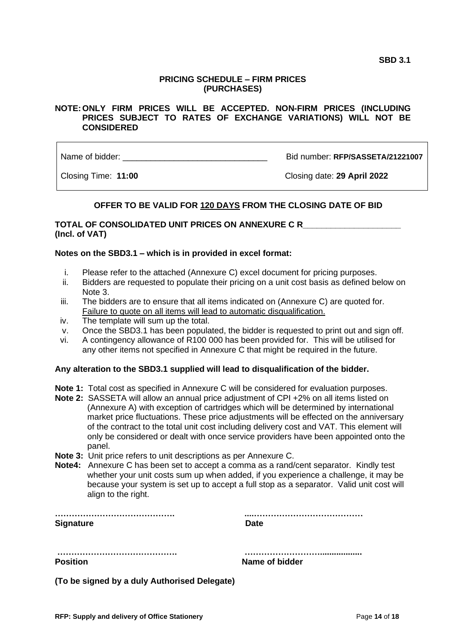### **PRICING SCHEDULE – FIRM PRICES (PURCHASES)**

### **NOTE: ONLY FIRM PRICES WILL BE ACCEPTED. NON-FIRM PRICES (INCLUDING PRICES SUBJECT TO RATES OF EXCHANGE VARIATIONS) WILL NOT BE CONSIDERED**

Name of bidder: **Name of bidder: Name of bidder: REP/SASSETA/21221007** 

Closing Time: **11:00** Closing date: **29 April 2022**

# **OFFER TO BE VALID FOR 120 DAYS FROM THE CLOSING DATE OF BID**

### **TOTAL OF CONSOLIDATED UNIT PRICES ON ANNEXURE C R\_\_\_\_\_\_\_\_\_\_\_\_\_\_\_\_\_\_\_\_\_ (Incl. of VAT)**

### **Notes on the SBD3.1 – which is in provided in excel format:**

- i. Please refer to the attached (Annexure C) excel document for pricing purposes.
- ii. Bidders are requested to populate their pricing on a unit cost basis as defined below on Note 3.
- iii. The bidders are to ensure that all items indicated on (Annexure C) are quoted for. Failure to quote on all items will lead to automatic disqualification.
- iv. The template will sum up the total.
- v. Once the SBD3.1 has been populated, the bidder is requested to print out and sign off.
- vi. A contingency allowance of R100 000 has been provided for. This will be utilised for any other items not specified in Annexure C that might be required in the future.

### **Any alteration to the SBD3.1 supplied will lead to disqualification of the bidder.**

- **Note 1:** Total cost as specified in Annexure C will be considered for evaluation purposes.
- **Note 2:** SASSETA will allow an annual price adjustment of CPI +2% on all items listed on (Annexure A) with exception of cartridges which will be determined by international market price fluctuations. These price adjustments will be effected on the anniversary of the contract to the total unit cost including delivery cost and VAT. This element will only be considered or dealt with once service providers have been appointed onto the panel.
- **Note 3:** Unit price refers to unit descriptions as per Annexure C.
- **Note4:** Annexure C has been set to accept a comma as a rand/cent separator. Kindly test whether your unit costs sum up when added, if you experience a challenge, it may be because your system is set up to accept a full stop as a separator. Valid unit cost will align to the right.

| <b>Signature</b> | <b>Date</b>    |
|------------------|----------------|
|                  |                |
| <b>Position</b>  | Name of bidder |

**(To be signed by a duly Authorised Delegate)**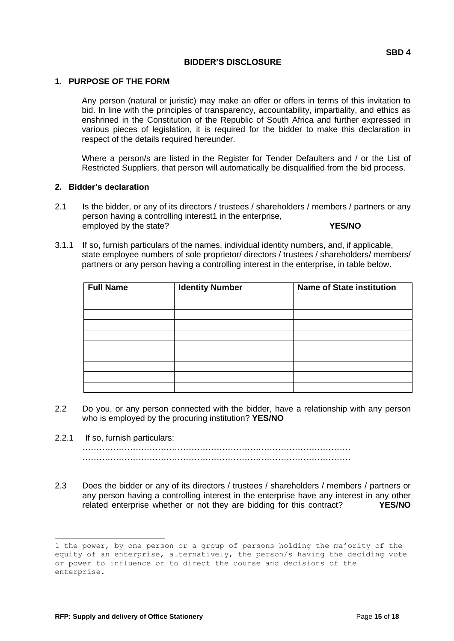### **BIDDER'S DISCLOSURE**

### **1. PURPOSE OF THE FORM**

Any person (natural or juristic) may make an offer or offers in terms of this invitation to bid. In line with the principles of transparency, accountability, impartiality, and ethics as enshrined in the Constitution of the Republic of South Africa and further expressed in various pieces of legislation, it is required for the bidder to make this declaration in respect of the details required hereunder.

Where a person/s are listed in the Register for Tender Defaulters and / or the List of Restricted Suppliers, that person will automatically be disqualified from the bid process.

### **2. Bidder's declaration**

- 2.1 Is the bidder, or any of its directors / trustees / shareholders / members / partners or any person having a controlling interest1 in the enterprise, employed by the state? **YES/NO**
- 3.1.1 If so, furnish particulars of the names, individual identity numbers, and, if applicable, state employee numbers of sole proprietor/ directors / trustees / shareholders/ members/ partners or any person having a controlling interest in the enterprise, in table below.

| <b>Full Name</b> | <b>Identity Number</b> | <b>Name of State institution</b> |  |  |
|------------------|------------------------|----------------------------------|--|--|
|                  |                        |                                  |  |  |
|                  |                        |                                  |  |  |
|                  |                        |                                  |  |  |
|                  |                        |                                  |  |  |
|                  |                        |                                  |  |  |
|                  |                        |                                  |  |  |
|                  |                        |                                  |  |  |
|                  |                        |                                  |  |  |
|                  |                        |                                  |  |  |

- 2.2 Do you, or any person connected with the bidder, have a relationship with any person who is employed by the procuring institution? **YES/NO**
- 2.2.1 If so, furnish particulars:

…………………………………………………………………………………… ……………………………………………………………………………………

2.3 Does the bidder or any of its directors / trustees / shareholders / members / partners or any person having a controlling interest in the enterprise have any interest in any other related enterprise whether or not they are bidding for this contract? **YES/NO**

<sup>1</sup> the power, by one person or a group of persons holding the majority of the equity of an enterprise, alternatively, the person/s having the deciding vote or power to influence or to direct the course and decisions of the enterprise.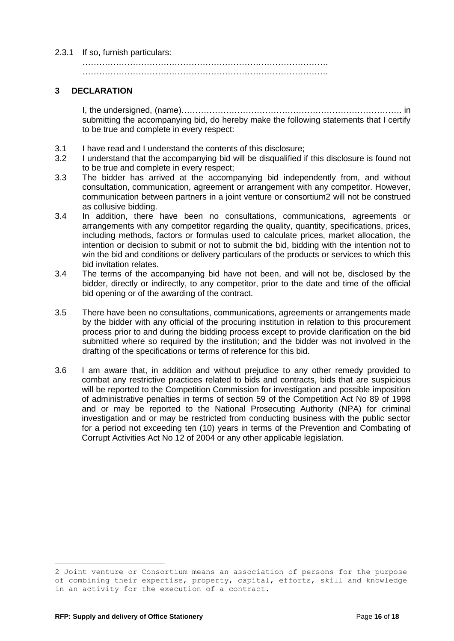### 2.3.1 If so, furnish particulars:

……………………………………………………………………………. …………………………………………………………………………….

### **3 DECLARATION**

I, the undersigned, (name)……………………………………………………………………. in submitting the accompanying bid, do hereby make the following statements that I certify to be true and complete in every respect:

- 3.1 I have read and I understand the contents of this disclosure;
- 3.2 I understand that the accompanying bid will be disqualified if this disclosure is found not to be true and complete in every respect;
- 3.3 The bidder has arrived at the accompanying bid independently from, and without consultation, communication, agreement or arrangement with any competitor. However, communication between partners in a joint venture or consortium2 will not be construed as collusive bidding.
- 3.4 In addition, there have been no consultations, communications, agreements or arrangements with any competitor regarding the quality, quantity, specifications, prices, including methods, factors or formulas used to calculate prices, market allocation, the intention or decision to submit or not to submit the bid, bidding with the intention not to win the bid and conditions or delivery particulars of the products or services to which this bid invitation relates.
- 3.4 The terms of the accompanying bid have not been, and will not be, disclosed by the bidder, directly or indirectly, to any competitor, prior to the date and time of the official bid opening or of the awarding of the contract.
- 3.5 There have been no consultations, communications, agreements or arrangements made by the bidder with any official of the procuring institution in relation to this procurement process prior to and during the bidding process except to provide clarification on the bid submitted where so required by the institution; and the bidder was not involved in the drafting of the specifications or terms of reference for this bid.
- 3.6 I am aware that, in addition and without prejudice to any other remedy provided to combat any restrictive practices related to bids and contracts, bids that are suspicious will be reported to the Competition Commission for investigation and possible imposition of administrative penalties in terms of section 59 of the Competition Act No 89 of 1998 and or may be reported to the National Prosecuting Authority (NPA) for criminal investigation and or may be restricted from conducting business with the public sector for a period not exceeding ten (10) years in terms of the Prevention and Combating of Corrupt Activities Act No 12 of 2004 or any other applicable legislation.

<sup>2</sup> Joint venture or Consortium means an association of persons for the purpose of combining their expertise, property, capital, efforts, skill and knowledge in an activity for the execution of a contract.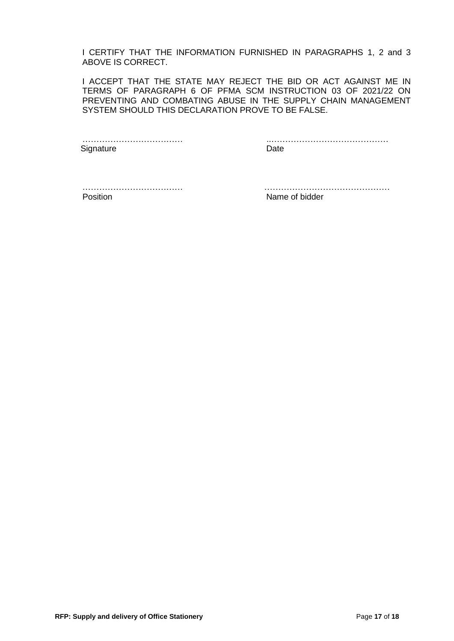I CERTIFY THAT THE INFORMATION FURNISHED IN PARAGRAPHS 1, 2 and 3 ABOVE IS CORRECT.

I ACCEPT THAT THE STATE MAY REJECT THE BID OR ACT AGAINST ME IN TERMS OF PARAGRAPH 6 OF PFMA SCM INSTRUCTION 03 OF 2021/22 ON PREVENTING AND COMBATING ABUSE IN THE SUPPLY CHAIN MANAGEMENT SYSTEM SHOULD THIS DECLARATION PROVE TO BE FALSE.

Signature Date Date

……………………………… ..……………………………………

Position **Name of bidder** 

……………………………… ………………………………………